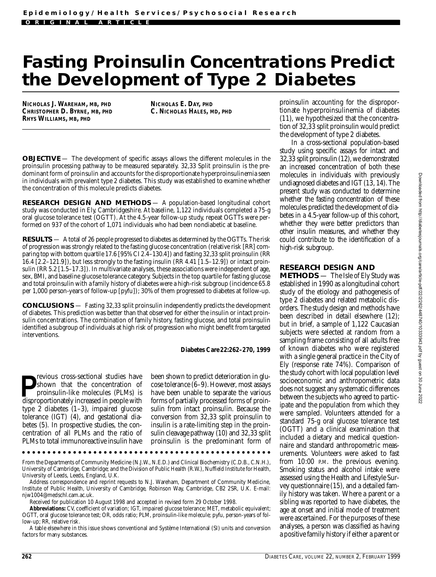# **Fasting Proinsulin Concentrations Predict the Development of Type 2 Diabetes**

**NICHOLAS J. WAREHAM, MB, PHD CHRISTOPHER D. BYRNE, MB, PHD RHYS WILLIAMS, MB, PHD**

**NICHOLAS E. DAY, PHD C. NICHOLAS HALES, MD, PHD**

**OBJECTIVE** — The development of specific assays allows the different molecules in the p roinsulin processing pathway to be measured separately. 32,33 Split proinsulin is the predominant form of proinsulin and accounts for the disproportionate hyperproinsulinemia seen in individuals with prevalent type 2 diabetes. This study was established to examine whether the concentration of this molecule predicts diabetes.

**RESEARCH DESIGN AND METHODS** — A population-based longitudinal cohort study was conducted in Ely, Cambridgeshire. At baseline, 1,122 individuals completed a 75-g oral glucose tolerance test (OGTT). At the 4.5-year follow-up study, repeat OGTTs were performed on 937 of the cohort of 1,071 individuals who had been nondiabetic at baseline.

**RESULTS** — A total of 26 people progressed to diabetes as determined by the OGTTs. The risk of progression was strongly related to the fasting glucose concentration (relative risk [RR] comparing top with bottom quartile 17.6 [95% CI 2.4–130.4]) and fasting 32,33 split proinsulin (RR 16.4  $[2.2-121.9]$ ), but less strongly to the fasting insulin (RR 4.41  $[1.5-12.9]$ ) or intact proinsulin (RR 5.2 [1.5–17.3]). In multivariate analyses, these associations were independent of age, sex, BMI, and baseline glucose tolerance category. Subjects in the top quartile for fasting glucose and total proinsulin with a family history of diabetes were a high-risk subgroup (incidence 65.8 per 1,000 person-years of follow-up [pyfu]); 30% of them progressed to diabetes at follow-up.

**CONCLUSIONS** — Fasting 32,33 split proinsulin independently predicts the development of diabetes. This prediction was better than that observed for either the insulin or intact proinsulin concentrations. The combination of family history, fasting glucose, and total proinsulin identified a subgroup of individuals at high risk of progression who might benefit from targeted interventions.

#### *Diabetes Care* **22:262–270, 1999**

**P** shown that the concentration of proinsulin-like molecules (PLMs) is disproportionately increased in people with revious cross-sectional studies have shown that the concentration of p roinsulin-like molecules (PLMs) is type 2 diabetes (1–3), impaired glucose tolerance (IGT) (4), and gestational diabetes (5). In prospective studies, the concentration of all PLMs and the ratio of PLMs to total immunoreactive insulin have

been shown to predict deterioration in glucose tolerance (6–9). However, most assays have been unable to separate the various forms of partially processed forms of proinsulin from intact proinsulin. Because the conversion from 32,33 split proinsulin to insulin is a rate-limiting step in the proinsulin cleavage pathway (10) and 32,33 split p roinsulin is the predominant form of

From the Departments of Community Medicine (N.J.W., N.E.D.) and Clinical Biochemistry (C.D.B., C.N.H.), University of Cambridge, Cambridge; and the Division of Public Health (R.W.), Nuffield Institute for Health, University of Leeds, Leeds, England, U.K.

Address correspondence and reprint requests to N.J. Wareham, Department of Community Medicine, Institute of Public Health, University of Cambridge, Robinson Way, Cambridge, CB2 2SR, U.K. E-mail:  $ni w 1004@med$ schl.cam.ac.uk.

Received for publication 10 August 1998 and accepted in revised form 29 October 1998.

Abbreviations: CV, coefficient of variation; IGT, impaired glucose tolerance; MET, metabolic equivalent; OGTT, oral glucose tolerance test; OR, odds ratio; PLM, proinsulin-like molecule; pyfu, person-years of follow-up: RR, relative risk.

A table elsewhere in this issue shows conventional and Système International (SI) units and conversion factors for many substances.

proinsulin accounting for the disproportionate hyperproinsulinemia of diabetes (11), we hypothesized that the concentration of 32,33 split proinsulin would predict the development of type 2 diabetes.

In a cross-sectional population-based study using specific assays for intact and 32,33 split proinsulin (12), we demonstrated an increased concentration of both these molecules in individuals with previously undiagnosed diabetes and IGT (13, 14). The present study was conducted to determine whether the fasting concentration of these molecules predicted the development of diabetes in a 4.5-year follow-up of this cohort, whether they were better predictors than other insulin measures, and whether they could contribute to the identification of a high-risk subgroup.

## **RESEARCH DESIGN AND**

**METHODS** — The Isle of Ely Study was established in 1990 as a longitudinal cohort study of the etiology and pathogenesis of type 2 diabetes and related metabolic disorders. The study design and methods have been described in detail elsewhere (12); but in brief, a sample of 1,122 Caucasian subjects were selected at random from a sampling frame consisting of all adults free of known diabetes who were registered with a single general practice in the City of Ely (response rate 74%). Comparison of the study cohort with local population level socioeconomic and anthropometric data does not suggest any systematic differences between the subjects who agreed to participate and the population from which they were sampled. Volunteers attended for a standard 75-g oral glucose tolerance test (OGTT) and a clinical examination that included a dietary and medical questionnaire and standard anthropometric measurements. Volunteers were asked to fast from 10:00 P.M. the previous evening. Smoking status and alcohol intake were assessed using the Health and Lifestyle Survey questionnaire (15), and a detailed family history was taken. Where a parent or a sibling was reported to have diabetes, the age at onset and initial mode of treatment were ascertained. For the purposes of these analyses, a person was classified as having a positive family history if either a parent or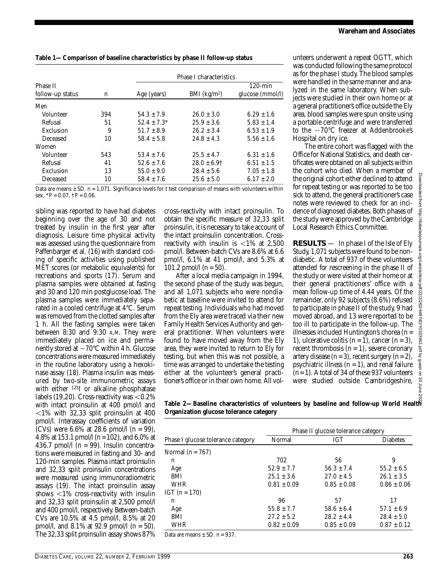| Table 1-Comparison of baseline characteristics by phase II follow-up status |
|-----------------------------------------------------------------------------|
|                                                                             |

|                  |                     |                                                                                                                                                                                                                                  | Phase I characteristics    |                                                                                                                    |
|------------------|---------------------|----------------------------------------------------------------------------------------------------------------------------------------------------------------------------------------------------------------------------------|----------------------------|--------------------------------------------------------------------------------------------------------------------|
| Phase II         |                     |                                                                                                                                                                                                                                  |                            | $120$ -min                                                                                                         |
| follow-up status | n                   | Age (years)                                                                                                                                                                                                                      | $BMI$ (kg/m <sup>2</sup> ) | glucose (mmol/l)                                                                                                   |
| Men              |                     |                                                                                                                                                                                                                                  |                            |                                                                                                                    |
| Volunteer        | 394                 | $54.3 \pm 7.9$                                                                                                                                                                                                                   | $26.0 \pm 3.0$             | $6.29 \pm 1.6$                                                                                                     |
| Refusal          | 51                  | $52.4 \pm 7.3^*$                                                                                                                                                                                                                 | $25.9 \pm 3.6$             | $5.83 \pm 1.4$                                                                                                     |
| Exclusion        | 9                   | $51.7 \pm 8.9$                                                                                                                                                                                                                   | $26.2 \pm 3.4$             | $6.53 \pm 1.9$                                                                                                     |
| Deceased         | 10                  | $58.4 \pm 5.8$                                                                                                                                                                                                                   | $24.8 \pm 4.3$             | $5.56 \pm 1.6$                                                                                                     |
| Women            |                     |                                                                                                                                                                                                                                  |                            |                                                                                                                    |
| Volunteer        | 543                 | $53.4 \pm 7.6$                                                                                                                                                                                                                   | $25.5 \pm 4.7$             | $6.31 \pm 1.6$                                                                                                     |
| Refusal          | 41                  | $52.6 \pm 7.6$                                                                                                                                                                                                                   | $28.0 \pm 6.9$ †           | $6.51 \pm 1.5$                                                                                                     |
| Exclusion        | 13                  | $55.0 \pm 9.0$                                                                                                                                                                                                                   | $28.4 \pm 5.6$             | $7.05 \pm 1.8$                                                                                                     |
| Deceased         | 10                  | $58.4 \pm 7.6$                                                                                                                                                                                                                   | $25.6 \pm 5.0$             | $6.17 \pm 2.0$                                                                                                     |
| $\sim$           | $1.071.01 \cdot 10$ | $\blacksquare$ $\blacksquare$ $\blacksquare$ $\blacksquare$ $\blacksquare$ $\blacksquare$ $\blacksquare$ $\blacksquare$ $\blacksquare$ $\blacksquare$ $\blacksquare$ $\blacksquare$ $\blacksquare$ $\blacksquare$ $\blacksquare$ |                            | $\mathbf{1}$ and $\mathbf{1}$ and $\mathbf{1}$ and $\mathbf{1}$ and $\mathbf{1}$ and $\mathbf{1}$ and $\mathbf{1}$ |

Data are means  $\pm$  SD. *n* = 1,071. Significance levels for *t* test comparison of means with volunteers within sex,  $*P = 0.07$ ,  $\dagger P = 0.06$ .

sibling was reported to have had diabetes beginning over the age of 30 and not t reated by insulin in the first year after diagnosis. Leisure time physical activity was assessed using the questionnaire from Paffenbarger et al. (16) with standard coding of specific activities using published MET scores (or metabolic equivalents) for recreations and sports (17). Serum and plasma samples were obtained at fasting and 30 and 120 min postglucose load. The plasma samples were immediately separated in a cooled centrifuge at 4°C. Serum was removed from the clotted samples after 1 h. All the fasting samples were taken between 8:30 and 9:30 A.M. They were immediately placed on ice and permanently stored at  $-70^{\circ}$ C within 4 h. Glucose concentrations were measured immediately in the routine laboratory using a hexokinase assay (18). Plasma insulin was measured by two-site immunometric assays with either  $125I$  or alkaline phosphatase labels  $(19,20)$ . Cross-reactivity was  $\leq 0.2\%$ with intact proinsulin at 400 pmol/l and  $1\%$  with 32,33 split proinsulin at 400 pmol/l. Interassay coefficients of variation (CVs) were 6.6% at 28.6 pmol/l (*n* = 99), 4.8% at 153.1 pmol/l (*n*= 102), and 6.0% at 436.7 pmol $/1$  ( $n = 99$ ). Insulin concentrations were measured in fasting and 30- and 120-min samples. Plasma intact proinsulin and 32,33 split proinsulin concentrations were measured using immunoradiometric assays (19). The intact proinsulin assay shows  $\langle 1\% \rangle$  cross-reactivity with insulin and 32,33 split proinsulin at 2,500 pmol/l and 400 pmol/l, respectively. Between-batch CVs are 10.5% at 4.5 pmol/l, 8.5% at 20 pmol/l, and 8.1% at 92.9 pmol/l (*n* = 50). The 32,33 split proinsulin assay shows 87%

cross-reactivity with intact proinsulin. To obtain the specific measure of 32,33 split proinsulin, it is necessary to take account of the intact proinsulin concentration. Crossreactivity with insulin is  $\langle 1\% \text{ at } 2,500 \rangle$ pmol/l. Between-batch CVs are 8.6% at 6.6 pmol/l, 6.1% at 41 pmol/l, and 5.3% at 101.2 pmol/l  $(n = 50)$ .

After a local media campaign in 1994, the second phase of the study was begun, and all 1,071 subjects who were nondiabetic at baseline were invited to attend for repeat testing. Individuals who had moved from the Ely area were traced via their new Family Health Services Authority and general practitioner. When volunteers were found to have moved away from the Ely area, they were invited to return to Ely for testing, but when this was not possible, a time was arranged to undertake the testing either at the volunteer's general practitioner's office or in their own home. All vol-

unteers underwent a repeat OGTT, which was conducted following the same protocol as for the phase I study. The blood samples were handled in the same manner and analyzed in the same laboratory. When subjects were studied in their own home or at a general practitioner's office outside the Ely area, blood samples were spun onsite using a portable centrifuge and were transferred to the  $-70^{\circ}$ C freezer at Addenbrooke's Hospital on dry ice.

The entire cohort was flagged with the Office for National Statistics, and death certificates were obtained on all subjects within the cohort who died. When a member of the original cohort either declined to attend for repeat testing or was reported to be too sick to attend, the general practitioner's case notes were reviewed to check for an incidence of diagnosed diabetes. Both phases of the study were approved by the Cambridge Local Research Ethics Committee.

**RESULTS** — In phase I of the Isle of Ely Study, 1,071 subjects were found to be nondiabetic. A total of 937 of these volunteers attended for rescreening in the phase II of the study or were visited at their home or at their general practitioners' office with a mean follow-up time of 4.44 years. Of the remainder, only 92 subjects (8.6%) refused to participate in phase II of the study, 9 had moved abroad, and 13 were reported to be too ill to participate in the follow-up. The illnesses included Huntington's chorea (*n* = 1), ulcerative colitis  $(n=1)$ , cancer  $(n=3)$ , recent thrombosis  $(n = 1)$ , severe coronary artery disease  $(n=3)$ , recent surgery  $(n=2)$ , psychiatric illness  $(n = 1)$ , and renal failure (*n*= 1). A total of 34 of these 937 volunteers were studied outside Cambridgeshire,

**Table 2—***Baseline characteristics of volunteers by baseline and follow-up World Health Organization glucose tolerance category* Downloaded from http://diabetesjournals.org/care/article-pdf/22/2/262/448740/10333943.pdf by guest on 30 June 2022

|                                                            | Phase II glucose tolerance category |                 |                 |  |  |
|------------------------------------------------------------|-------------------------------------|-----------------|-----------------|--|--|
| Phase I glucose tolerance category                         | Normal                              | <b>IGT</b>      | <b>Diabetes</b> |  |  |
| Normal $(n = 767)$                                         |                                     |                 |                 |  |  |
| n                                                          | 702                                 | 56              | 9               |  |  |
| Age                                                        | $52.9 \pm 7.7$                      | $56.3 \pm 7.4$  | $55.2 \pm 6.5$  |  |  |
| BMI                                                        | $25.1 \pm 3.6$                      | $27.0 \pm 4.5$  | $26.1 \pm 3.5$  |  |  |
| <b>WHR</b>                                                 | $0.81 \pm 0.09$                     | $0.85 \pm 0.08$ | $0.86 \pm 0.06$ |  |  |
| IGT $(n = 170)$                                            |                                     |                 |                 |  |  |
| n                                                          | 96                                  | 57              | 17              |  |  |
| Age                                                        | $55.8 \pm 7.7$                      | $58.6 \pm 6.4$  | $57.1 \pm 6.9$  |  |  |
| BMI                                                        | $27.2 \pm 5.2$                      | $28.2 \pm 4.4$  | $28.4 \pm 5.0$  |  |  |
| WHR                                                        | $0.82 \pm 0.09$                     | $0.85 \pm 0.09$ | $0.87 \pm 0.12$ |  |  |
| $\mathbf{D}$ . The contract of $\mathbf{D}$<br>$CD = 0.07$ |                                     |                 |                 |  |  |

Data are means ± SD. *n* = 937.

lloaded from http://diabetesjournals.org/care/article-pdf/22/2/262/448740/10333943.pdf by guest on 30 June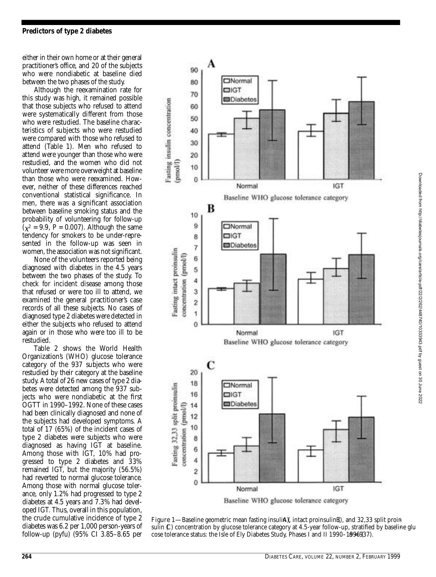either in their own home or at their general practitioner's office, and 20 of the subjects who were nondiabetic at baseline died between the two phases of the study.

Although the reexamination rate for this study was high, it remained possible that those subjects who refused to attend were systematically different from those who were restudied. The baseline characteristics of subjects who were restudied were compared with those who refused to attend (Table 1). Men who refused to attend were younger than those who were restudied, and the women who did not volunteer were more overweight at baseline than those who were reexamined. However, neither of these differences reached conventional statistical significance. In men, there was a significant association between baseline smoking status and the p robability of volunteering for follow-up  $(\chi^2 = 9.9, P = 0.007)$ . Although the same tendency for smokers to be under-represented in the follow-up was seen in women, the association was not significant.

None of the volunteers reported being diagnosed with diabetes in the 4.5 years between the two phases of the study. To check for incident disease among those that refused or were too ill to attend, we examined the general practitioner's case records of all these subjects. No cases of diagnosed type 2 diabetes were detected in either the subjects who refused to attend again or in those who were too ill to be restudied.

Table 2 shows the World Health Organization's (WHO) glucose tolerance category of the 937 subjects who were restudied by their category at the baseline study. A total of 26 new cases of type 2 diabetes were detected among the 937 subjects who were nondiabetic at the first OGTT in 1990–1992. None of these cases had been clinically diagnosed and none of the subjects had developed symptoms. A total of 17 (65%) of the incident cases of type 2 diabetes were subjects who were diagnosed as having IGT at baseline. Among those with IGT, 10% had progressed to type 2 diabetes and 33% remained IGT, but the majority (56.5%) had reverted to normal glucose tolerance. Among those with normal glucose tolerance, only 1.2% had progressed to type 2 diabetes at 4.5 years and 7.3% had developed IGT. Thus, overall in this population, the crude cumulative incidence of type 2 diabetes was 6.2 per 1,000 person-years of follow-up (pyfu) (95% CI 3.85–8.65 per



Figure 1—Baseline geometric mean fasting insuli**A**)( intact proinsulin B), and 32,33 split proin*sulin (*C*) concentration by glucose tolerance category at 4.5-year follow-up, stratified by baseline glu cose tolerance status: the Isle of Ely Diabetes Study, Phases I and II 1990–1996937).*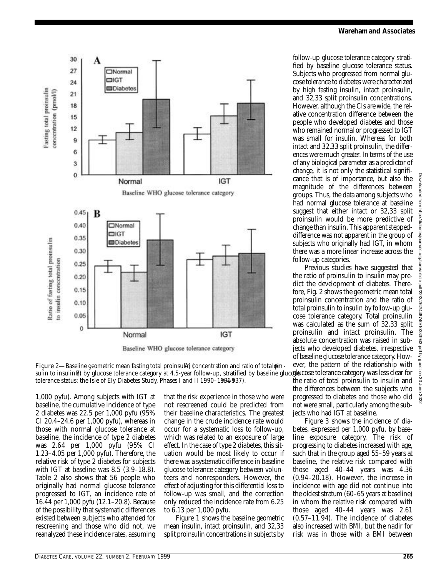



sulin to insulin¤) by glucose tolerance category at 4.5-year follow-up, stratified by baseline gluc**ose**delerance category was less clear for Figure 2—*Baseline geometric mean fasting total proinsular) (concentration and ratio of total*  $\varphi$ *in tolerance status: the Isle of Ely Diabetes Study, Phases I and II 1990–1996 (937).* 

1,000 pyfu). Among subjects with IGT at baseline, the cumulative incidence of type 2 diabetes was 22.5 per 1,000 pyfu (95% CI 20.4–24.6 per  $1,000$  pyfu), whereas in those with normal glucose tolerance at baseline, the incidence of type 2 diabetes was 2.64 per 1,000 pyfu (95% CI 1.23–4.05 per 1,000 pyfu). Therefore, the relative risk of type 2 diabetes for subjects with IGT at baseline was 8.5 (3.9–18.8). Table 2 also shows that 56 people who originally had normal glucose tolerance progressed to IGT, an incidence rate of 16.44 per 1,000 pyfu (12.1–20.8). Because of the possibility that systematic differences existed between subjects who attended for rescreening and those who did not, we reanalyzed these incidence rates, assuming

that the risk experience in those who were not rescreened could be predicted from their baseline characteristics. The greatest change in the crude incidence rate would occur for a systematic loss to follow-up, which was related to an exposure of large e ffect. In the case of type 2 diabetes, this situation would be most likely to occur if there was a systematic difference in baseline glucose tolerance category between volunteers and nonresponders. However, the effect of adjusting for this differential loss to follow-up was small, and the correction only reduced the incidence rate from 6.25 to 6.13 per 1,000 pyfu.

Figure 1 shows the baseline geometric mean insulin, intact proinsulin, and 32,33 split proinsulin concentrations in subjects by

follow-up glucose tolerance category stratified by baseline glucose tolerance status. Subjects who progressed from normal glucose tolerance to diabetes were characterized by high fasting insulin, intact proinsulin, and 32,33 split proinsulin concentrations. However, although the CIs are wide, the relative concentration difference between the people who developed diabetes and those who remained normal or progressed to IGT was small for insulin. Whereas for both intact and 32,33 split proinsulin, the differences were much greater. In terms of the use of any biological parameter as a predictor of change, it is not only the statistical significance that is of importance, but also the magnitude of the differences between g roups. Thus, the data among subjects who had normal glucose tolerance at baseline suggest that either intact or 32,33 split p roinsulin would be more predictive of change than insulin. This apparent steppeddifference was not apparent in the group of subjects who originally had IGT, in whom there was a more linear increase across the follow-up categories.

Previous studies have suggested that the ratio of proinsulin to insulin may predict the development of diabetes. Therefore, Fig. 2 shows the geometric mean total p roinsulin concentration and the ratio of total proinsulin to insulin by follow-up glucose tolerance category. Total proinsulin was calculated as the sum of 32,33 split p roinsulin and intact proinsulin. The absolute concentration was raised in subjects who developed diabetes, irrespective of baseline glucose tolerance category. However, the pattern of the relationship with the ratio of total proinsulin to insulin and the differences between the subjects who progressed to diabetes and those who did not were small, particularly among the sub-

jects who had IGT at baseline. Figure 3 shows the incidence of diabetes, expressed per 1,000 pyfu, by baseline exposure category. The risk of progressing to diabetes increased with age, such that in the group aged 55–59 years at baseline, the relative risk compared with those aged 40–44 years was 4.36 (0.94–20.18). However, the increase in incidence with age did not continue into the oldest stratum (60–65 years at baseline) in whom the relative risk compared with those aged 40–44 years was 2.61 (0.57–11.94). The incidence of diabetes also increased with BMI, but the nadir for risk was in those with a BMI between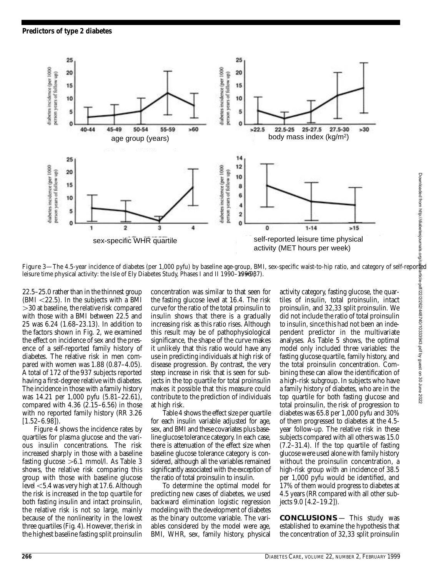

*leisure time physical activity: the Isle of Ely Diabetes Study, Phases I and II 1990–1996087).* 

 $22.5-25.0$  rather than in the thinnest group  $(BMI < 22.5)$ . In the subjects with a BMI  $>$ 30 at baseline, the relative risk compared with those with a BMI between 22.5 and 25 was 6.24 (1.68–23.13). In addition to the factors shown in Fig. 2, we examined the effect on incidence of sex and the presence of a self-reported family history of diabetes. The relative risk in men compared with women was  $1.88$  (0.87–4.05). A total of 172 of the 937 subjects reported having a first-degree relative with diabetes. The incidence in those with a family history was 14.21 per 1,000 pyfu (5.81–22.61), compared with  $4.36$   $(2.15-6.56)$  in those with no reported family history (RR 3.26)  $[1.52 - 6.98]$ .

Figure 4 shows the incidence rates by quartiles for plasma glucose and the various insulin concentrations. The risk increased sharply in those with a baseline fasting glucose  $>6.1$  mmol/l. As Table 3 shows, the relative risk comparing this group with those with baseline glucose level  $<$  5.4 was very high at 17.6. Although the risk is increased in the top quartile for both fasting insulin and intact proinsulin, the relative risk is not so large, mainly because of the nonlinearity in the lowest three quartiles (Fig. 4). However, the risk in the highest baseline fasting split proinsulin

concentration was similar to that seen for the fasting glucose level at 16.4. The risk curve for the ratio of the total proinsulin to insulin shows that there is a gradually increasing risk as this ratio rises. Although this result may be of pathophysiological significance, the shape of the curve makes it unlikely that this ratio would have any use in predicting individuals at high risk of disease progression. By contrast, the very steep increase in risk that is seen for subjects in the top quartile for total proinsulin makes it possible that this measure could contribute to the prediction of individuals at high risk.

Table 4 shows the effect size per quartile for each insulin variable adjusted for age, sex, and BMI and these covariates plus baseline glucose tolerance category. In each case, there is attenuation of the effect size when baseline glucose tolerance category is considered, although all the variables remained significantly associated with the exception of the ratio of total proinsulin to insulin.

To determine the optimal model for p redicting new cases of diabetes, we used backward elimination logistic regression modeling with the development of diabetes as the binary outcome variable. The variables considered by the model were age, BMI, WHR, sex, family history, physical

activity category, fasting glucose, the quartiles of insulin, total proinsulin, intact p roinsulin, and 32,33 split proinsulin. We did not include the ratio of total proinsulin to insulin, since this had not been an independent predictor in the multivariate analyses. As Table 5 shows, the optimal model only included three variables: the fasting glucose quartile, family history, and the total proinsulin concentration. Combining these can allow the identification of a high-risk subgroup. In subjects who have a family history of diabetes, who are in the top quartile for both fasting glucose and total proinsulin, the risk of progression to diabetes was 65.8 per 1,000 pyfu and 30% of them progressed to diabetes at the 4.5year follow-up. The relative risk in these subjects compared with all others was 15.0 (7.2–31.4). If the top quartile of fasting glucose were used alone with family history without the proinsulin concentration, a high-risk group with an incidence of 38.5 per 1,000 pyfu would be identified, and 17% of them would progress to diabetes at 4.5 years (RR compared with all other subjects 9.0 [4.2–19.2]).

**CONCLUSIONS** — This study was established to examine the hypothesis that the concentration of 32,33 split proinsulin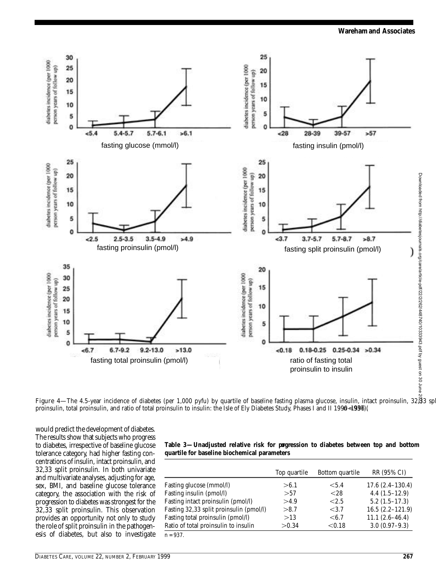

**Figure 4—**The 4.5-year incidence of diabetes (per 1,000 pyfu) by quartile of baseline fasting plasma glucose, insulin, intact proinsulin, 32,33 sp. *proinsulin, total proinsulin, and ratio of total proinsulin to insulin: the Isle of Ely Diabetes Study, Phases I and II 1990–1996 (* n *= 937).*

would predict the development of diabetes. The results show that subjects who progress to diabetes, irrespective of baseline glucose tolerance category, had higher fasting concentrations of insulin, intact proinsulin, and 32,33 split proinsulin. In both univariate and multivariate analyses, adjusting for age, sex, BMI, and baseline glucose tolerance category, the association with the risk of progression to diabetes was strongest for the  $32,33$  split proinsulin. This observation provides an opportunity not only to study the role of split proinsulin in the pathogenesis of diabetes, but also to investigate

| Table 3—Unadjusted relative risk for pagression to diabetes between top and bottom |  |  |  |  |
|------------------------------------------------------------------------------------|--|--|--|--|
| quartile for baseline biochemical parameters                                       |  |  |  |  |

|                                         | Top quartile | Bottom quartile | RR (95% CI)         |
|-----------------------------------------|--------------|-----------------|---------------------|
| Fasting glucose (mmol/l)                | >6.1         | < 5.4           | $17.6(2.4-130.4)$   |
| Fasting insulin (pmol/l)                | > 57         | <28             | $4.4(1.5-12.9)$     |
| Fasting intact proinsulin (pmol/l)      | >4.9         | < 2.5           | $5.2(1.5-17.3)$     |
| Fasting 32,33 split proinsulin (pmol/l) | >8.7         | < 3.7           | $16.5(2.2 - 121.9)$ |
| Fasting total proinsulin (pmol/l)       | >13          | $\leq 6.7$      | $11.1(2.6-46.4)$    |
| Ratio of total proinsulin to insulin    | > 0.34       | < 0.18          | $3.0(0.97-9.3)$     |
| $n = 937$ .                             |              |                 |                     |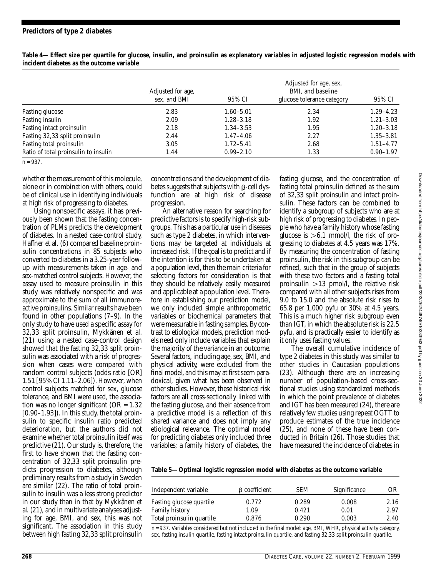## *Predictors of type 2 diabetes*

|                                      | Adjusted for age,<br>sex, and BMI | 95% CI        | Adjusted for age, sex,<br>BMI, and baseline<br>glucose tolerance category | 95% CI        |
|--------------------------------------|-----------------------------------|---------------|---------------------------------------------------------------------------|---------------|
| Fasting glucose                      | 2.83                              | $1.60 - 5.01$ | 2.34                                                                      | $1.29 - 4.23$ |
| Fasting insulin                      | 2.09                              | $1.28 - 3.18$ | 1.92                                                                      | $1.21 - 3.03$ |
| Fasting intact proinsulin            | 2.18                              | $1.34 - 3.53$ | 1.95                                                                      | $1.20 - 3.18$ |
| Fasting 32,33 split proinsulin       | 2.44                              | $1.47 - 4.06$ | 2.27                                                                      | $1.35 - 3.81$ |
| Fasting total proinsulin             | 3.05                              | $1.72 - 5.41$ | 2.68                                                                      | $1.51 - 4.77$ |
| Ratio of total proinsulin to insulin | 1.44                              | $0.99 - 2.10$ | 1.33                                                                      | $0.90 - 1.97$ |

**Table 4—***Effect size per quartile for glucose, insulin, and proinsulin as explanatory variables in adjusted logistic regression models with incident diabetes as the outcome variable*

whether the measurement of this molecule, alone or in combination with others, could be of clinical use in identifying individuals at high risk of progressing to diabetes.

Using nonspecific assays, it has previously been shown that the fasting concentration of PLMs predicts the development of diabetes. In a nested case-control study, Haffner et al. (6) compared baseline proinsulin concentrations in 85 subjects who converted to diabetes in a 3.25-year followup with measurements taken in age- and sex-matched control subjects. However, the assay used to measure proinsulin in this study was relatively nonspecific and was approximate to the sum of all immunoreactive proinsulins. Similar results have been found in other populations (7–9). In the only study to have used a specific assay for 32,33 split proinsulin, Mykkänen et al. (21) using a nested case-control design showed that the fasting 32,33 split proinsulin was associated with a risk of progression when cases were compared with random control subjects (odds ratio [OR] 1.51 [95% CI 1.11–2.06]). However, when control subjects matched for sex, glucose tolerance, and BMI were used, the association was no longer significant ( $OR = 1.32$ )  $[0.90-1.93]$ . In this study, the total proinsulin to specific insulin ratio predicted deterioration, but the authors did not examine whether total proinsulin itself was predictive  $(21)$ . Our study is, therefore, the first to have shown that the fasting concentration of 32,33 split proinsulin predicts progression to diabetes, although preliminary results from a study in Sweden are similar  $(22)$ . The ratio of total proinsulin to insulin was a less strong predictor in our study than in that by Mykkänen et al. (21), and in multivariate analyses adjusting for age, BMI, and sex, this was not significant. The association in this study between high fasting 32,33 split proinsulin

concentrations and the development of diabetes suggests that subjects with  $\beta$ -cell dysfunction are at high risk of disease progression.

An alternative reason for searching for p redictive factors is to specify high-risk subg roups. This has a particular use in diseases such as type 2 diabetes, in which interventions may be targeted at individuals at increased risk. If the goal is to predict and if the intention is for this to be undertaken at a population level, then the main criteria for selecting factors for consideration is that they should be relatively easily measured and applicable at a population level. Therefore in establishing our prediction model, we only included simple anthropometric variables or biochemical parameters that were measurable in fasting samples. By contrast to etiological models, prediction models need only include variables that explain the majority of the variance in an outcome. Several factors, including age, sex, BMI, and physical activity, were excluded from the final model, and this may at first seem paradoxical, given what has been observed in other studies. However, these historical risk factors are all cross-sectionally linked with the fasting glucose, and their absence from a predictive model is a reflection of this shared variance and does not imply any etiological relevance. The optimal model for predicting diabetes only included three variables; a family history of diabetes, the

fasting glucose, and the concentration of fasting total proinsulin defined as the sum of 32,33 split proinsulin and intact proinsulin. These factors can be combined to identify a subgroup of subjects who are at high risk of progressing to diabetes. In people who have a family history whose fasting glucose is  $>6.1$  mmol/l, the risk of progressing to diabetes at 4.5 years was 17%. By measuring the concentration of fasting p roinsulin, the risk in this subgroup can be re fined, such that in the group of subjects with these two factors and a fasting total proinsulin  $>13$  pmol/l, the relative risk compared with all other subjects rises from 9.0 to 15.0 and the absolute risk rises to 65.8 per 1,000 pyfu or 30% at 4.5 years. This is a much higher risk subgroup even than IGT, in which the absolute risk is 22.5 pyfu, and is practically easier to identify as it only uses fasting values.

The overall cumulative incidence of type 2 diabetes in this study was similar to other studies in Caucasian populations  $(23)$ . Although there are an increasing number of population-based cross-sectional studies using standardized methods in which the point prevalence of diabetes and IGT has been measured (24), there are relatively few studies using repeat OGTT to p roduce estimates of the true incidence (25), and none of these have been conducted in Britain (26). Those studies that have measured the incidence of diabetes in

|  | Table 5-Optimal logistic regression model with diabetes as the outcome variable |  |  |  |  |
|--|---------------------------------------------------------------------------------|--|--|--|--|
|--|---------------------------------------------------------------------------------|--|--|--|--|

| Independent variable                       | <b>B</b> coefficient | SEM            | Significance  | OR           |
|--------------------------------------------|----------------------|----------------|---------------|--------------|
| Fasting glucose quartile<br>Family history | 0.772<br>1.09        | 0.289<br>0.421 | 0.008<br>0.01 | 2.16<br>2.97 |
| Total proinsulin quartile                  | 0.876                | 0.290          | 0.003         | 2.40         |

*n*= 937. Variables considered but not included in the final model: age, BMI, WHR, physical activity category, sex, fasting insulin quartile, fasting intact proinsulin quartile, and fasting 32,33 split proinsulin quartile.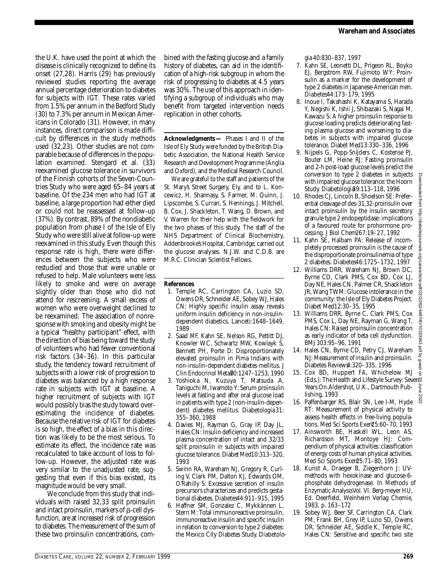the U.K. have used the point at which the disease is clinically recognized to define its onset  $(27,28)$ . Harris  $(29)$  has previously reviewed studies reporting the average annual percentage deterioration to diabetes for subjects with IGT. These rates varied from 1.5% per annum in the Bedford Study (30) to 7.3% per annum in Mexican Americans in Colorado (31). However, in many instances, direct comparison is made difficult by differences in the study methods used (32,23). Other studies are not comparable because of differences in the population examined. Stengard et al. (33) reexamined glucose tolerance in survivors of the Finnish cohorts of the Seven-Countries Study who were aged 65–84 years at baseline. Of the 234 men who had IGT at baseline, a large proportion had either died or could not be reassessed at follow-up (37%). By contrast, 89% of the nondiabetic population from phase I of the Isle of Ely Study who were still alive at follow-up were reexamined in this study. Even though this response rate is high, there were differences between the subjects who were restudied and those that were unable or refused to help. Male volunteers were less likely to smoke and were on average slightly older than those who did not attend for rescreening. A small excess of women who were overweight declined to be reexamined. The association of nonresponse with smoking and obesity might be a typical "healthy participant" effect, with the direction of bias being toward the study of volunteers who had fewer conventional risk factors  $(34-36)$ . In this particular study, the tendency toward recruitment of subjects with a lower risk of progression to diabetes was balanced by a high response rate in subjects with IGT at baseline. A higher recruitment of subjects with IGT would possibly bias the study toward overestimating the incidence of diabetes. Because the relative risk of IGT for diabetes is so high, the effect of a bias in this direction was likely to be the most serious. To estimate its effect, the incidence rate was recalculated to take account of loss to follow-up. However, the adjusted rate was very similar to the unadjusted rate, suggesting that even if this bias existed, its magnitude would be very small.

We conclude from this study that individuals with raised 32,33 split proinsulin and intact proinsulin, markers of  $\beta$ -cell dysfunction, are at increased risk of progression to diabetes. The measurement of the sum of these two proinsulin concentrations, combined with the fasting glucose and a family history of diabetes, can aid in the identification of a high-risk subgroup in whom the risk of progressing to diabetes at 4.5 years was 30%. The use of this approach in identifying a subgroup of individuals who may benefit from targeted intervention needs replication in other cohorts.

**Acknowledgments** - Phases I and II of the Isle of Ely Study were funded by the British Diabetic Association, the National Health Service Research and Development Programme (Anglia and Oxford), and the Medical Research Council.

We are grateful to the staff and patients of the St. Mary's Street Surgery, Ely, and to L. Koncewicz, H. Shannasy, S. Farmer, M. Quinn, J. Lipscombe, S. Curran, S. Hennings, J. Mitchell, B. Cox, J. Shackleton, T. Wang, D. Brown, and V. Warren for their help with the fieldwork for the two phases of this study. The staff of the NHS Department of Clinical Biochemistry, Addenbrooke's Hospital, Cambridge, carried out the glucose analyses. N.J.W. and C.D.B. are M.R.C. Clinician Scientist Fellows.

## **References**

- 1. Temple RC, Carrington CA, Luzio SD, Owens DR, Schneider AE, Sobey WJ, Hales CN: Highly specific insulin assay reveals uniform insulin deficiency in non-insulindependent diabetics. *Lanceti*: 1648-1649, 1989
- 2 . Saad MF, Kahn SE, Nelson RG, Pettitt DJ, Knowler WC, Schwartz MW, Kowlayk S, Bennett PH, Porte D: Disproportionately elevated proinsulin in Pima Indians with non-insulin-dependent diabetes mellitus. *J Clin Endocrinol Metab*70:1247–1253, 1990
- 3 . Yoshioka N, Kuzuya T, Matsuda A, Taniguchi M, Iwamoto Y: Serum proinsulin levels at fasting and after oral glucose load in patients with type 2 (non-insulin-dependent) diabetes mellitus. *Diabetologia* 3 1 : 355–360, 1988
- 4 . Davies MJ, Rayman G, Gray IP, Day JL, Hales CN: Insulin deficiency and increased plasma concentration of intact and 32/33 split proinsulin in subjects with impaired glucose tolerance. *Diabet Med*10:313-320, 1993
- 5. Swinn RA, Wareham NJ, Gregory R, Curling V, Clark PM, Dalton KJ, Edwards OM, O'Rahilly S: Excessive secretion of insulin p recursors characterizes and predicts gestational diabetes. *Diabetes*44:911-915, 1995
- 6. Haffner SM, Gonzalez C, Mykkännen L, Stern M: Total immunoreactive proinsulin, immunoreactive insulin and specific insulin in relation to conversion to type 2 diabetes: the Mexico City Diabetes Study. Diabetolo-

*gia* 40:830–837, 1997

- 7 . Kahn SE, Leonetti DL, Prigeon RL, Boyko EJ, Bergstrom RW, Fujimoto WY: Proinsulin as a marker for the development of type 2 diabetes in Japanese-American men. *D i a b e t e s*44:173–179, 1995
- 8 . Inoue I, Takahashi K, Katayama S, Harada Y, Negishi K, Ishii J, Shibazaki S, Nagai M, Kawazu S: A higher proinsulin response to glucose loading predicts deteriorating fasting plasma glucose and worsening to diabetes in subjects with impaired glucose tolerance. *Diabet Med*13:330–336, 1996
- 9 . Nijpels G, Popp-Snijders C, Kostense PJ, Bouter LM, Heine RJ: Fasting proinsulin and 2-h post-load glucose levels predict the conversion to type 2 diabetes in subjects with impaired glucose tolerance: the Hoorn Study. Diabetologi<sup>89:113-118, 1996</sup>
- 10. Rhodes CJ, Lincoln B, Shoelson SE: Preferential cleavage of des-31,32-proinsulin over intact proinsulin by the insulin secretory granule type 2 endopeptidase: implications of a favoured route for prohormone processing. *J Biol Chem*267:19–27, 1992
- 11. Kahn SE, Halbam PA: Release of incompletely processed proinsulin is the cause of the disproportionate proinsulinemia of type 2 diabetes. *D i a b e t e s*46:1725–1732, 1997
- 12. Williams DRR, Wareham NJ, Brown DC, Byrne CD, Clark PMS, Cox BD, Cox LJ, Day NE, Hales CN, Palmer CR, Shackleton JR, Wang TWM: Glucose intolerance in the community: the Isle of Ely Diabetes Project. *Diabet Med*12:30–35, 1995
- 13. Williams DRR, Byrne C, Clark PMS, Cox PMS, Cox L, Day NE, Rayman G, Wang T, Hales CN: Raised proinsulin concentration as early indicator of beta cell dysfunction. *B M J* 303:95–96, 1991
- 14. Hales CN, Byrne CD, Petry CJ, Wareham NJ: Measurement of insulin and proinsulin. *Diabetes Reviews*4:320–335, 1996
- 15. Cox BD, Huppert FA, Whichelow MJ (Eds.): *The Health and Lifestyle Survey: Seven Years On.*Aldershot, U.K., Dartmouth Publishing, 1993
- 16. Paffenbarger RS, Blair SN, Lee I-M, Hyde RT: Measurement of physical activity to assess health effects in free-living populations. *Med Sci Sports Exerc*25:60–70, 1993
- 17. Ainsworth BE, Haskell WL, Leon AS, Richardson MT, Montoye HJ: Compendium of physical activities: classification of energy costs of human physical activities. *Med Sci Sports Exerc*25:71–80, 1993
- 18. Kunst A, Draeger B, Ziegenhorn J: UVmethods with hexokinase and glucose-6 phosphate dehydrogenase. In *Methods of Enzymatic Analysis* Vol. VI. Berg-meyer HU, Ed. Deerfield, Weinheim Verlag Chemie, 1983, p. 163–172
- 19. Sobey WJ, Beer SF, Carrington CA, Clark PM, Frank BH, Grey IP, Luzio SD, Owens DR, Schneider AE, Siddle K, Temple RC, Hales CN: Sensitive and specific two site